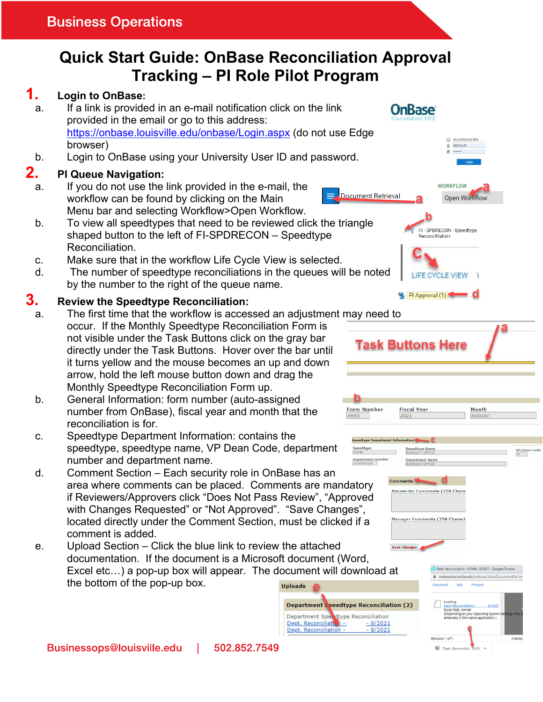# **Quick Start Guide: OnBase Reconciliation Approval Tracking – PI Role Pilot Program**

#### **1. Login to OnBase:** a. If a link is provided in an e-mail notification click on the link **OnBase** provided in the email or go to this address: https://onbase.louisville.edu/onbase/Login.aspx (do not use Edge D ADLOUSVILLE EDU browser) O ARCOLLOS ä b. Login to OnBase using your University User ID and password. **2. PI Queue Navigation:** a. If you do not use the link provided in the e-mail, the **WORKFLOW** Document Retrieval workflow can be found by clicking on the Main Open Workflow Menu bar and selecting Workflow>Open Workflow. b. To view all speedtypes that need to be reviewed click the triangle FI - SPDRECON - Speedtype shaped button to the left of FI-SPDRECON – Speedtype Reconcilliation Reconciliation. c. Make sure that in the workflow Life Cycle View is selected. d. The number of speedtype reconciliations in the queues will be noted LIFE CYCLE VIEW | by the number to the right of the queue name. 9 PI Approval (1) **3. Review the Speedtype Reconciliation:**  a. The first time that the workflow is accessed an adjustment may need to occur. If the Monthly Speedtype Reconciliation Form is not visible under the Task Buttons click on the gray bar **Task Buttons Here** directly under the Task Buttons. Hover over the bar until it turns yellow and the mouse becomes an up and down arrow, hold the left mouse button down and drag the Monthly Speedtype Reconciliation Form up. b. General Information: form number (auto-assigned **Form Number Fiscal Year** number from OnBase), fiscal year and month that the 4983 2021 reconciliation is for. c. Speedtype Department Information: contains the speedtype, speedtype name, VP Dean Code, department Speedtype<br>01049 .<br>BURSAR'S OFFICE number and department name. Department Nu<br>1220000256 **Department Nan<br>BURSAR'S OFFICE** d. Comment Section – Each security role in OnBase has an area where comments can be placed. Comments are mandatory Reconciler Comments (250 Chara if Reviewers/Approvers click "Does Not Pass Review", "Approved



e. Upload Section – Click the blue link to review the attached **Save Changes** documentation. If the document is a Microsoft document (Word, Excel etc…) a pop-up box will appear. The document will download at the bottom of the pop-up box. **Uploads** 





Dept. Reconciliation - 01049 - 8/2021 - Google Chrome

**Manager Comments (250 Charact** 

Month

AUGUS<sup>-</sup>

 $\frac{\text{VP/Dean}}{12}$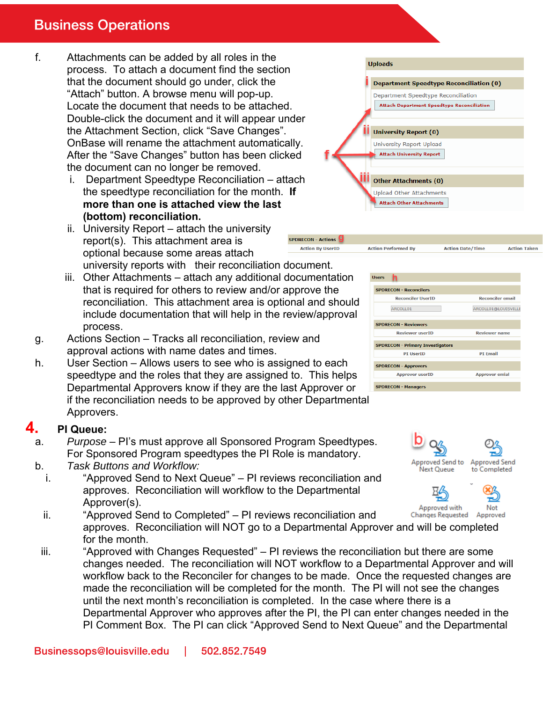## **Business Operations**

- f. Attachments can be added by all roles in the process. To attach a document find the section that the document should go under, click the "Attach" button. A browse menu will pop-up. Locate the document that needs to be attached. Double-click the document and it will appear under the Attachment Section, click "Save Changes". OnBase will rename the attachment automatically. After the "Save Changes" button has been clicked the document can no longer be removed.
	- i. Department Speedtype Reconciliation attach the speedtype reconciliation for the month. **If more than one is attached view the last (bottom) reconciliation.**
	- ii. University Report attach the university report(s). This attachment area is optional because some areas attach university reports with their reconciliation document.
	- iii. Other Attachments attach any additional documentation that is required for others to review and/or approve the reconciliation. This attachment area is optional and should include documentation that will help in the review/approval process.
- g. Actions Section Tracks all reconciliation, review and approval actions with name dates and times.
- h. User Section Allows users to see who is assigned to each speedtype and the roles that they are assigned to. This helps Departmental Approvers know if they are the last Approver or if the reconciliation needs to be approved by other Departmental Approvers.

#### **4. PI Queue:**

- a. *Purpose* PI's must approve all Sponsored Program Speedtypes. For Sponsored Program speedtypes the PI Role is mandatory.
- b. *Task Buttons and Workflow:*
	- i. "Approved Send to Next Queue" PI reviews reconciliation and approves. Reconciliation will workflow to the Departmental Approver(s).
	- ii. "Approved Send to Completed" PI reviews reconciliation and **Changes Requested** approves. Reconciliation will NOT go to a Departmental Approver and will be completed for the month.
- iii. "Approved with Changes Requested" PI reviews the reconciliation but there are some changes needed. The reconciliation will NOT workflow to a Departmental Approver and will workflow back to the Reconciler for changes to be made. Once the requested changes are made the reconciliation will be completed for the month. The PI will not see the changes until the next month's reconciliation is completed. In the case where there is a Departmental Approver who approves after the PI, the PI can enter changes needed in the PI Comment Box. The PI can click "Approved Send to Next Queue" and the Departmental

SPDRECON - Actions **Action By UserID** 



**Action Performed By** 

| <b>Hisers</b>                           |                         |
|-----------------------------------------|-------------------------|
| <b>SPDRECON - Reconcilers</b>           |                         |
| <b>Reconciler UserID</b>                | <b>Reconciler email</b> |
| ARCOLL01                                | ARCOLL01@LOUISVILLE     |
| <b>SPDRECON - Reviewers</b>             |                         |
| <b>Reviewer userID</b>                  | <b>Reviewer name</b>    |
| <b>SPDRECON - Primary Investigators</b> |                         |
| <b>PI UserID</b>                        | <b>PI Email</b>         |
| <b>SPDRECON - Approvers</b>             |                         |
| <b>Approver userID</b>                  | <b>Approver emial</b>   |
| <b>SPDRECON - Managers</b>              |                         |

**Action Date/Time** 

**Action Taken** 



Approved with Not Approved